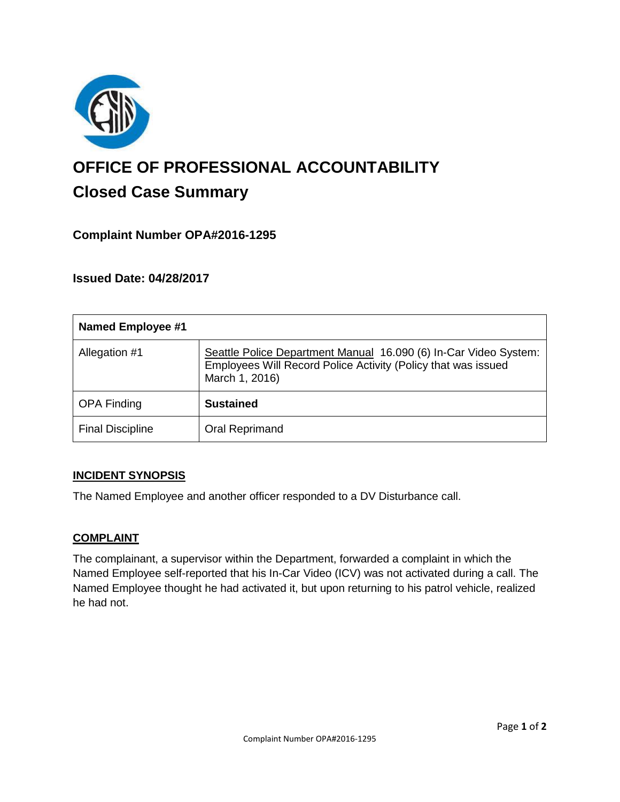

# **OFFICE OF PROFESSIONAL ACCOUNTABILITY Closed Case Summary**

## **Complaint Number OPA#2016-1295**

**Issued Date: 04/28/2017**

| <b>Named Employee #1</b> |                                                                                                                                                     |
|--------------------------|-----------------------------------------------------------------------------------------------------------------------------------------------------|
| Allegation #1            | Seattle Police Department Manual 16.090 (6) In-Car Video System:<br>Employees Will Record Police Activity (Policy that was issued<br>March 1, 2016) |
| <b>OPA Finding</b>       | <b>Sustained</b>                                                                                                                                    |
| <b>Final Discipline</b>  | Oral Reprimand                                                                                                                                      |

#### **INCIDENT SYNOPSIS**

The Named Employee and another officer responded to a DV Disturbance call.

#### **COMPLAINT**

The complainant, a supervisor within the Department, forwarded a complaint in which the Named Employee self-reported that his In-Car Video (ICV) was not activated during a call. The Named Employee thought he had activated it, but upon returning to his patrol vehicle, realized he had not.